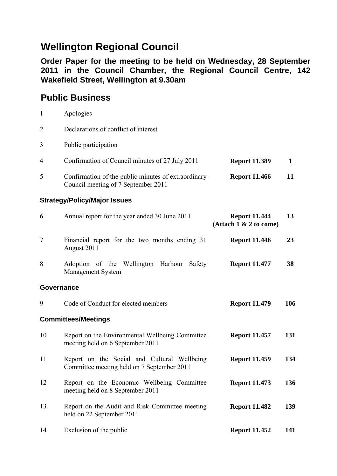## **Wellington Regional Council**

**Order Paper for the meeting to be held on Wednesday, 28 September 2011 in the Council Chamber, the Regional Council Centre, 142 Wakefield Street, Wellington at 9.30am** 

## **Public Business**

|   | Apologies                                                                                  |                      |  |
|---|--------------------------------------------------------------------------------------------|----------------------|--|
| 2 | Declarations of conflict of interest                                                       |                      |  |
| 3 | Public participation                                                                       |                      |  |
| 4 | Confirmation of Council minutes of 27 July 2011                                            | <b>Report 11.389</b> |  |
| 5 | Confirmation of the public minutes of extraordinary<br>Council meeting of 7 September 2011 | <b>Report 11.466</b> |  |

## **Strategy/Policy/Major Issues**

| 6                          | Annual report for the year ended 30 June 2011                                             | <b>Report 11.444</b><br>(Attach 1 & 2 to come) | 13  |
|----------------------------|-------------------------------------------------------------------------------------------|------------------------------------------------|-----|
| $\tau$                     | Financial report for the two months ending 31<br>August 2011                              | <b>Report 11.446</b>                           | 23  |
| 8                          | Adoption of the Wellington Harbour<br>Safety<br>Management System                         | <b>Report 11.477</b>                           | 38  |
| <b>Governance</b>          |                                                                                           |                                                |     |
| 9                          | Code of Conduct for elected members                                                       | <b>Report 11.479</b>                           | 106 |
| <b>Committees/Meetings</b> |                                                                                           |                                                |     |
| 10                         | Report on the Environmental Wellbeing Committee<br>meeting held on 6 September 2011       | <b>Report 11.457</b>                           | 131 |
| 11                         | Report on the Social and Cultural Wellbeing<br>Committee meeting held on 7 September 2011 | <b>Report 11.459</b>                           | 134 |
| 12                         | Report on the Economic Wellbeing Committee<br>meeting held on 8 September 2011            | <b>Report 11.473</b>                           | 136 |
| 13                         | Report on the Audit and Risk Committee meeting<br>held on 22 September 2011               | <b>Report 11.482</b>                           | 139 |
| 14                         | Exclusion of the public                                                                   | <b>Report 11.452</b>                           | 141 |